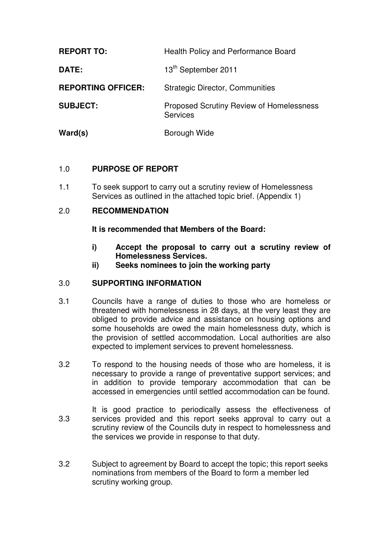| <b>REPORT TO:</b>         | <b>Health Policy and Performance Board</b>                         |
|---------------------------|--------------------------------------------------------------------|
| DATE:                     | 13th September 2011                                                |
| <b>REPORTING OFFICER:</b> | <b>Strategic Director, Communities</b>                             |
| <b>SUBJECT:</b>           | <b>Proposed Scrutiny Review of Homelessness</b><br><b>Services</b> |
| Ward(s)                   | Borough Wide                                                       |

# 1.0 **PURPOSE OF REPORT**

1.1 To seek support to carry out a scrutiny review of Homelessness Services as outlined in the attached topic brief. (Appendix 1)

## 2.0 **RECOMMENDATION**

#### **It is recommended that Members of the Board:**

- **i) Accept the proposal to carry out a scrutiny review of Homelessness Services.**
- **ii) Seeks nominees to join the working party**

#### 3.0 **SUPPORTING INFORMATION**

- 3.1 Councils have a range of duties to those who are homeless or threatened with homelessness in 28 days, at the very least they are obliged to provide advice and assistance on housing options and some households are owed the main homelessness duty, which is the provision of settled accommodation. Local authorities are also expected to implement services to prevent homelessness.
- 3.2 To respond to the housing needs of those who are homeless, it is necessary to provide a range of preventative support services; and in addition to provide temporary accommodation that can be accessed in emergencies until settled accommodation can be found.
- 3.3 It is good practice to periodically assess the effectiveness of services provided and this report seeks approval to carry out a scrutiny review of the Councils duty in respect to homelessness and the services we provide in response to that duty.
- 3.2 Subject to agreement by Board to accept the topic; this report seeks nominations from members of the Board to form a member led scrutiny working group.